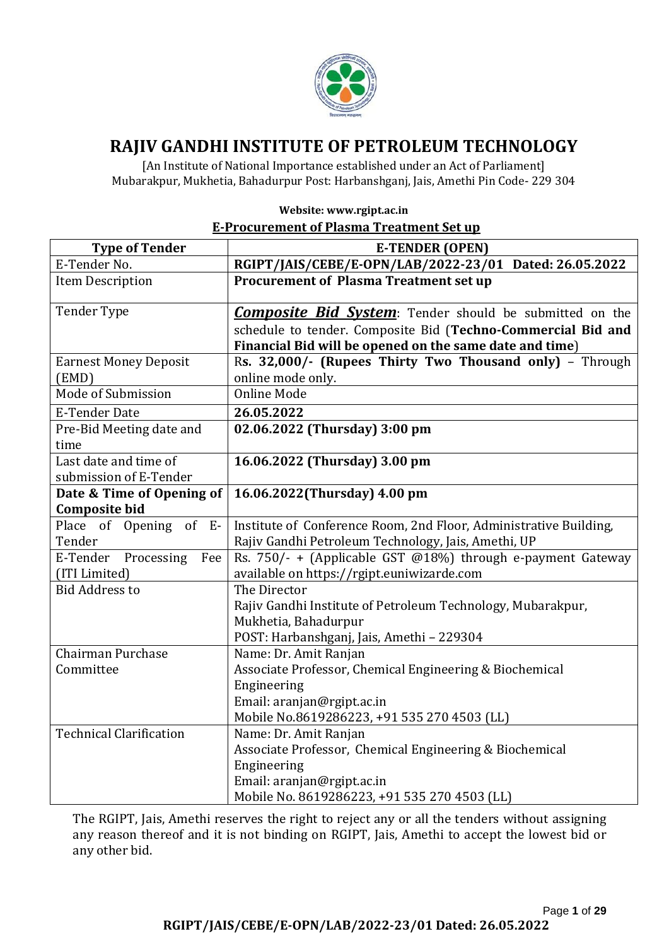

# **RAJIV GANDHI INSTITUTE OF PETROLEUM TECHNOLOGY**

[An Institute of National Importance established under an Act of Parliament] Mubarakpur, Mukhetia, Bahadurpur Post: Harbanshganj, Jais, Amethi Pin Code- 229 304

| <u>E-Procurement of Plasma Treatment Set up</u> |                                                                                                                                                                                           |  |  |
|-------------------------------------------------|-------------------------------------------------------------------------------------------------------------------------------------------------------------------------------------------|--|--|
| <b>Type of Tender</b>                           | <b>E-TENDER (OPEN)</b>                                                                                                                                                                    |  |  |
| E-Tender No.                                    | RGIPT/JAIS/CEBE/E-OPN/LAB/2022-23/01 Dated: 26.05.2022                                                                                                                                    |  |  |
| <b>Item Description</b>                         | <b>Procurement of Plasma Treatment set up</b>                                                                                                                                             |  |  |
| <b>Tender Type</b>                              | <b>Composite Bid System:</b> Tender should be submitted on the<br>schedule to tender. Composite Bid (Techno-Commercial Bid and<br>Financial Bid will be opened on the same date and time) |  |  |
| <b>Earnest Money Deposit</b><br>(EMD)           | Rs. 32,000/- (Rupees Thirty Two Thousand only) - Through<br>online mode only.                                                                                                             |  |  |
| Mode of Submission                              | <b>Online Mode</b>                                                                                                                                                                        |  |  |
| <b>E-Tender Date</b>                            | 26.05.2022                                                                                                                                                                                |  |  |
| Pre-Bid Meeting date and<br>time                | 02.06.2022 (Thursday) 3:00 pm                                                                                                                                                             |  |  |
| Last date and time of<br>submission of E-Tender | 16.06.2022 (Thursday) 3.00 pm                                                                                                                                                             |  |  |
| Date & Time of Opening of                       | 16.06.2022(Thursday) 4.00 pm                                                                                                                                                              |  |  |
| <b>Composite bid</b>                            |                                                                                                                                                                                           |  |  |
| Place of Opening of E-<br>Tender                | Institute of Conference Room, 2nd Floor, Administrative Building,<br>Rajiv Gandhi Petroleum Technology, Jais, Amethi, UP                                                                  |  |  |
| E-Tender<br>Processing<br>Fee<br>(ITI Limited)  | Rs. 750/- + (Applicable GST @18%) through e-payment Gateway<br>available on https://rgipt.euniwizarde.com                                                                                 |  |  |
| <b>Bid Address to</b>                           | The Director<br>Rajiv Gandhi Institute of Petroleum Technology, Mubarakpur,<br>Mukhetia, Bahadurpur<br>POST: Harbanshganj, Jais, Amethi - 229304                                          |  |  |
| Chairman Purchase<br>Committee                  | Name: Dr. Amit Ranjan<br>Associate Professor, Chemical Engineering & Biochemical<br>Engineering<br>Email: aranjan@rgipt.ac.in<br>Mobile No.8619286223, +91 535 270 4503 (LL)              |  |  |
| <b>Technical Clarification</b>                  | Name: Dr. Amit Ranjan<br>Associate Professor, Chemical Engineering & Biochemical<br>Engineering<br>Email: aranjan@rgipt.ac.in<br>Mobile No. 8619286223, +91 535 270 4503 (LL)             |  |  |

**Website: www.rgipt.ac.in E-Procurement of Plasma Treatment Set up**

The RGIPT, Jais, Amethi reserves the right to reject any or all the tenders without assigning any reason thereof and it is not binding on RGIPT, Jais, Amethi to accept the lowest bid or any other bid.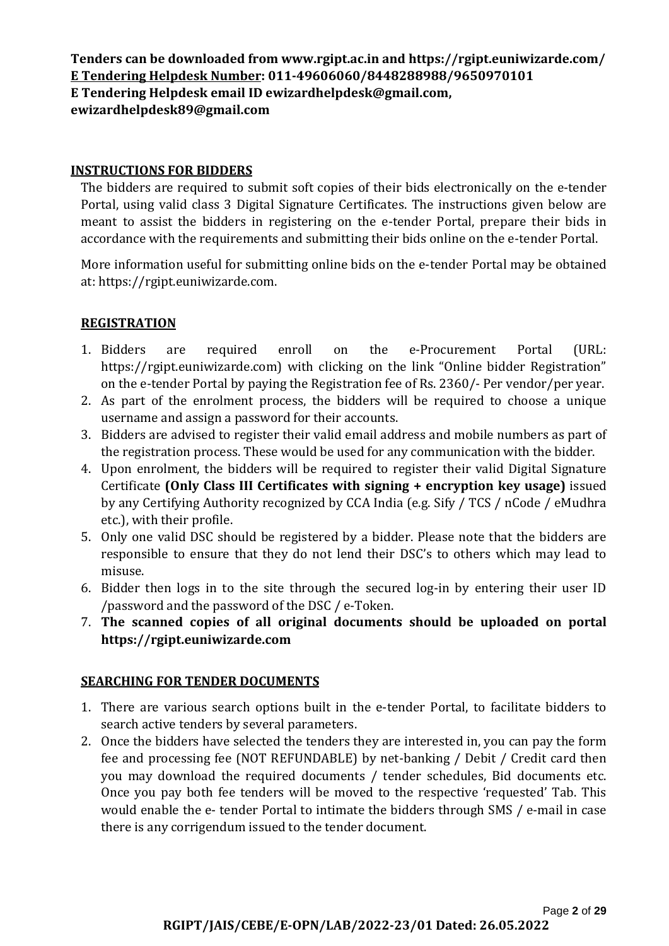**Tenders can be downloaded from www.rgipt.ac.in an[d https://rgipt.euniwizarde.com/](https://rgipt.euniwizarde.com/) E Tendering Helpdesk Number: 011-49606060/8448288988/9650970101 E Tendering Helpdesk email ID ewizardhelpdesk@gmail.com, ewizardhelpdesk89@gmail.com**

### **INSTRUCTIONS FOR BIDDERS**

The bidders are required to submit soft copies of their bids electronically on the e-tender Portal, using valid class 3 Digital Signature Certificates. The instructions given below are meant to assist the bidders in registering on the e-tender Portal, prepare their bids in accordance with the requirements and submitting their bids online on the e-tender Portal.

More information useful for submitting online bids on the e-tender Portal may be obtained at: https://rgipt.euniwizarde.com.

## **REGISTRATION**

- 1. Bidders are required enroll on the e-Procurement Portal (URL: https://rgipt.euniwizarde.com) with clicking on the link "Online bidder Registration" on the e-tender Portal by paying the Registration fee of Rs. 2360/- Per vendor/per year.
- 2. As part of the enrolment process, the bidders will be required to choose a unique username and assign a password for their accounts.
- 3. Bidders are advised to register their valid email address and mobile numbers as part of the registration process. These would be used for any communication with the bidder.
- 4. Upon enrolment, the bidders will be required to register their valid Digital Signature Certificate **(Only Class III Certificates with signing + encryption key usage)** issued by any Certifying Authority recognized by CCA India (e.g. Sify / TCS / nCode / eMudhra etc.), with their profile.
- 5. Only one valid DSC should be registered by a bidder. Please note that the bidders are responsible to ensure that they do not lend their DSC's to others which may lead to misuse.
- 6. Bidder then logs in to the site through the secured log-in by entering their user ID /password and the password of the DSC / e-Token.
- 7. **The scanned copies of all original documents should be uploaded on portal https://rgipt.euniwizarde.com**

#### **SEARCHING FOR TENDER DOCUMENTS**

- 1. There are various search options built in the e-tender Portal, to facilitate bidders to search active tenders by several parameters.
- 2. Once the bidders have selected the tenders they are interested in, you can pay the form fee and processing fee (NOT REFUNDABLE) by net-banking / Debit / Credit card then you may download the required documents / tender schedules, Bid documents etc. Once you pay both fee tenders will be moved to the respective 'requested' Tab. This would enable the e- tender Portal to intimate the bidders through SMS / e-mail in case there is any corrigendum issued to the tender document.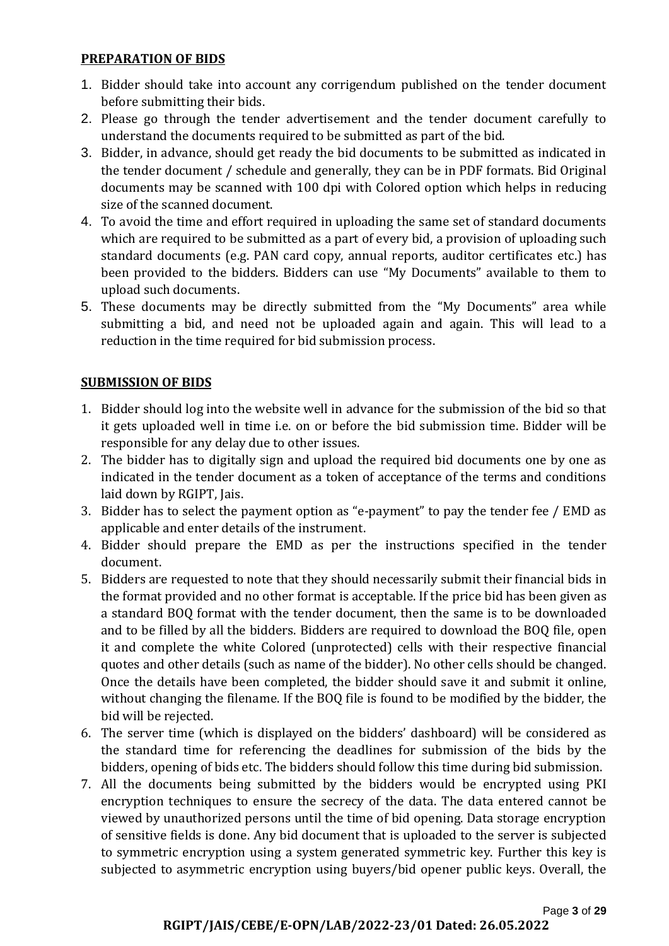#### **PREPARATION OF BIDS**

- 1. Bidder should take into account any corrigendum published on the tender document before submitting their bids.
- 2. Please go through the tender advertisement and the tender document carefully to understand the documents required to be submitted as part of the bid.
- 3. Bidder, in advance, should get ready the bid documents to be submitted as indicated in the tender document / schedule and generally, they can be in PDF formats. Bid Original documents may be scanned with 100 dpi with Colored option which helps in reducing size of the scanned document.
- 4. To avoid the time and effort required in uploading the same set of standard documents which are required to be submitted as a part of every bid, a provision of uploading such standard documents (e.g. PAN card copy, annual reports, auditor certificates etc.) has been provided to the bidders. Bidders can use "My Documents" available to them to upload such documents.
- 5. These documents may be directly submitted from the "My Documents" area while submitting a bid, and need not be uploaded again and again. This will lead to a reduction in the time required for bid submission process.

## **SUBMISSION OF BIDS**

- 1. Bidder should log into the website well in advance for the submission of the bid so that it gets uploaded well in time i.e. on or before the bid submission time. Bidder will be responsible for any delay due to other issues.
- 2. The bidder has to digitally sign and upload the required bid documents one by one as indicated in the tender document as a token of acceptance of the terms and conditions laid down by RGIPT, Jais.
- 3. Bidder has to select the payment option as "e-payment" to pay the tender fee / EMD as applicable and enter details of the instrument.
- 4. Bidder should prepare the EMD as per the instructions specified in the tender document.
- 5. Bidders are requested to note that they should necessarily submit their financial bids in the format provided and no other format is acceptable. If the price bid has been given as a standard BOQ format with the tender document, then the same is to be downloaded and to be filled by all the bidders. Bidders are required to download the BOQ file, open it and complete the white Colored (unprotected) cells with their respective financial quotes and other details (such as name of the bidder). No other cells should be changed. Once the details have been completed, the bidder should save it and submit it online, without changing the filename. If the BOQ file is found to be modified by the bidder, the bid will be rejected.
- 6. The server time (which is displayed on the bidders' dashboard) will be considered as the standard time for referencing the deadlines for submission of the bids by the bidders, opening of bids etc. The bidders should follow this time during bid submission.
- 7. All the documents being submitted by the bidders would be encrypted using PKI encryption techniques to ensure the secrecy of the data. The data entered cannot be viewed by unauthorized persons until the time of bid opening. Data storage encryption of sensitive fields is done. Any bid document that is uploaded to the server is subjected to symmetric encryption using a system generated symmetric key. Further this key is subjected to asymmetric encryption using buyers/bid opener public keys. Overall, the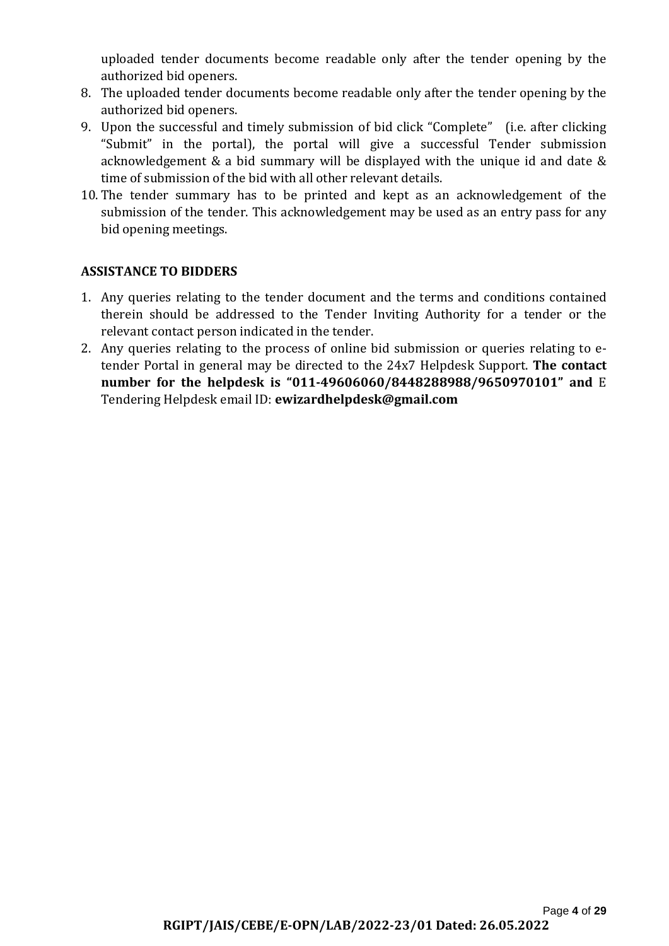uploaded tender documents become readable only after the tender opening by the authorized bid openers.

- 8. The uploaded tender documents become readable only after the tender opening by the authorized bid openers.
- 9. Upon the successful and timely submission of bid click "Complete" (i.e. after clicking "Submit" in the portal), the portal will give a successful Tender submission acknowledgement & a bid summary will be displayed with the unique id and date & time of submission of the bid with all other relevant details.
- 10. The tender summary has to be printed and kept as an acknowledgement of the submission of the tender. This acknowledgement may be used as an entry pass for any bid opening meetings.

## **ASSISTANCE TO BIDDERS**

- 1. Any queries relating to the tender document and the terms and conditions contained therein should be addressed to the Tender Inviting Authority for a tender or the relevant contact person indicated in the tender.
- 2. Any queries relating to the process of online bid submission or queries relating to etender Portal in general may be directed to the 24x7 Helpdesk Support. **The contact number for the helpdesk is "011-49606060/8448288988/9650970101" and** E Tendering Helpdesk email ID: **ewizardhelpdesk@gmail.com**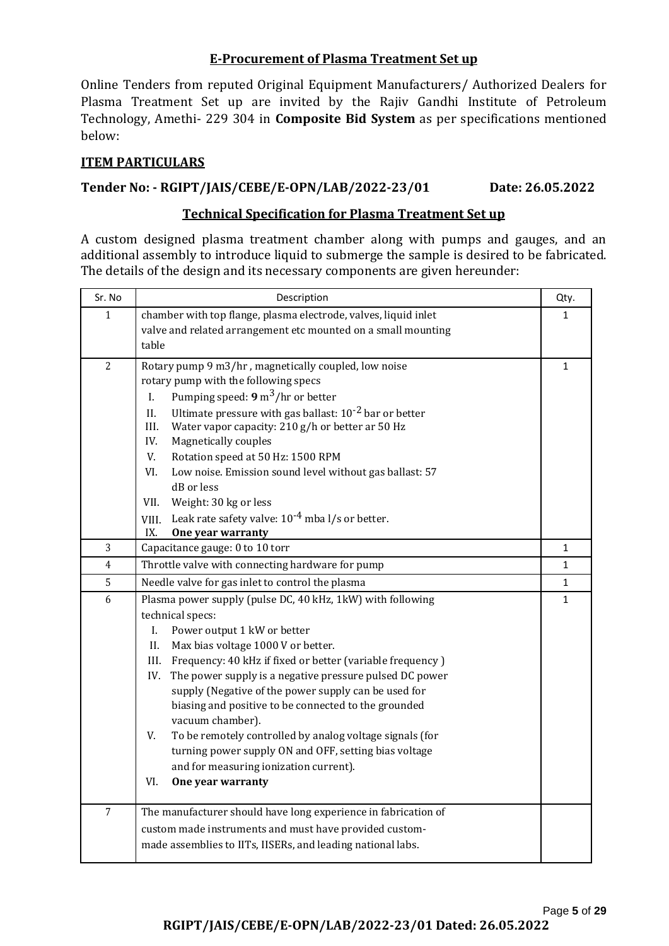#### **E-Procurement of Plasma Treatment Set up**

Online Tenders from reputed Original Equipment Manufacturers/ Authorized Dealers for Plasma Treatment Set up are invited by the Rajiv Gandhi Institute of Petroleum Technology, Amethi- 229 304 in **Composite Bid System** as per specifications mentioned below:

### **ITEM PARTICULARS**

## **Tender No: - RGIPT/JAIS/CEBE/E-OPN/LAB/2022-23/01 Date: 26.05.2022**

#### **Technical Specification for Plasma Treatment Set up**

A custom designed plasma treatment chamber along with pumps and gauges, and an additional assembly to introduce liquid to submerge the sample is desired to be fabricated. The details of the design and its necessary components are given hereunder:

| Sr. No         | Description                                                                                                                           | Qty.         |
|----------------|---------------------------------------------------------------------------------------------------------------------------------------|--------------|
| $\mathbf{1}$   | chamber with top flange, plasma electrode, valves, liquid inlet                                                                       | 1            |
|                | valve and related arrangement etc mounted on a small mounting                                                                         |              |
|                | table                                                                                                                                 |              |
| $\overline{2}$ | Rotary pump 9 m3/hr, magnetically coupled, low noise                                                                                  | 1            |
|                | rotary pump with the following specs                                                                                                  |              |
|                | Pumping speed: $9 \text{ m}^3/\text{hr}$ or better<br>L.                                                                              |              |
|                | Ultimate pressure with gas ballast: 10 <sup>-2</sup> bar or better<br>II.<br>Water vapor capacity: 210 g/h or better ar 50 Hz<br>III. |              |
|                | IV.<br>Magnetically couples                                                                                                           |              |
|                | V.<br>Rotation speed at 50 Hz: 1500 RPM                                                                                               |              |
|                | VI.<br>Low noise. Emission sound level without gas ballast: 57                                                                        |              |
|                | dB or less                                                                                                                            |              |
|                | VII.<br>Weight: 30 kg or less                                                                                                         |              |
|                | Leak rate safety valve: $10^{-4}$ mba l/s or better.<br>VIII.                                                                         |              |
|                | IX.<br>One year warranty                                                                                                              |              |
| 3              | Capacitance gauge: 0 to 10 torr                                                                                                       | $\mathbf 1$  |
| $\overline{4}$ | Throttle valve with connecting hardware for pump                                                                                      | $\mathbf{1}$ |
| 5              | Needle valve for gas inlet to control the plasma                                                                                      | $\mathbf{1}$ |
| 6              | Plasma power supply (pulse DC, 40 kHz, 1kW) with following                                                                            | $\mathbf{1}$ |
|                | technical specs:                                                                                                                      |              |
|                | Power output 1 kW or better<br>I.<br>II.                                                                                              |              |
|                | Max bias voltage 1000 V or better.<br>Frequency: 40 kHz if fixed or better (variable frequency)<br>III.                               |              |
|                | The power supply is a negative pressure pulsed DC power<br>IV.                                                                        |              |
|                | supply (Negative of the power supply can be used for                                                                                  |              |
|                | biasing and positive to be connected to the grounded                                                                                  |              |
|                | vacuum chamber).                                                                                                                      |              |
|                | V.<br>To be remotely controlled by analog voltage signals (for                                                                        |              |
|                | turning power supply ON and OFF, setting bias voltage                                                                                 |              |
|                | and for measuring ionization current).                                                                                                |              |
|                | VI.<br>One year warranty                                                                                                              |              |
| $\overline{7}$ | The manufacturer should have long experience in fabrication of                                                                        |              |
|                | custom made instruments and must have provided custom-                                                                                |              |
|                | made assemblies to IITs, IISERs, and leading national labs.                                                                           |              |
|                |                                                                                                                                       |              |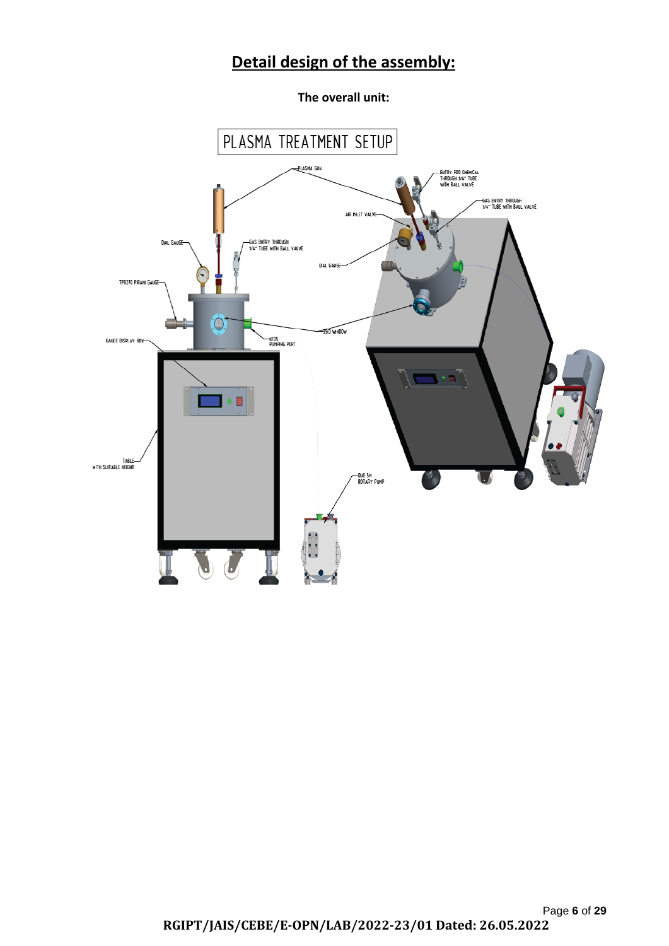# **Detail design of the assembly:**

**The overall unit:**

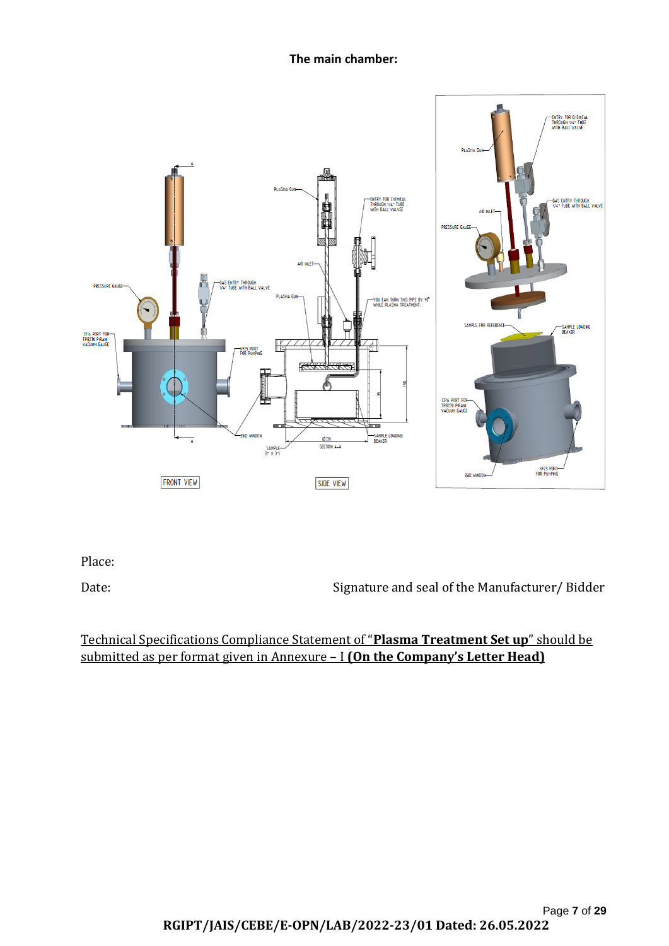**The main chamber:**



Place:

Date: Signature and seal of the Manufacturer/ Bidder

# Technical Specifications Compliance Statement of "**Plasma Treatment Set up**" should be submitted as per format given in Annexure – I **(On the Company's Letter Head)**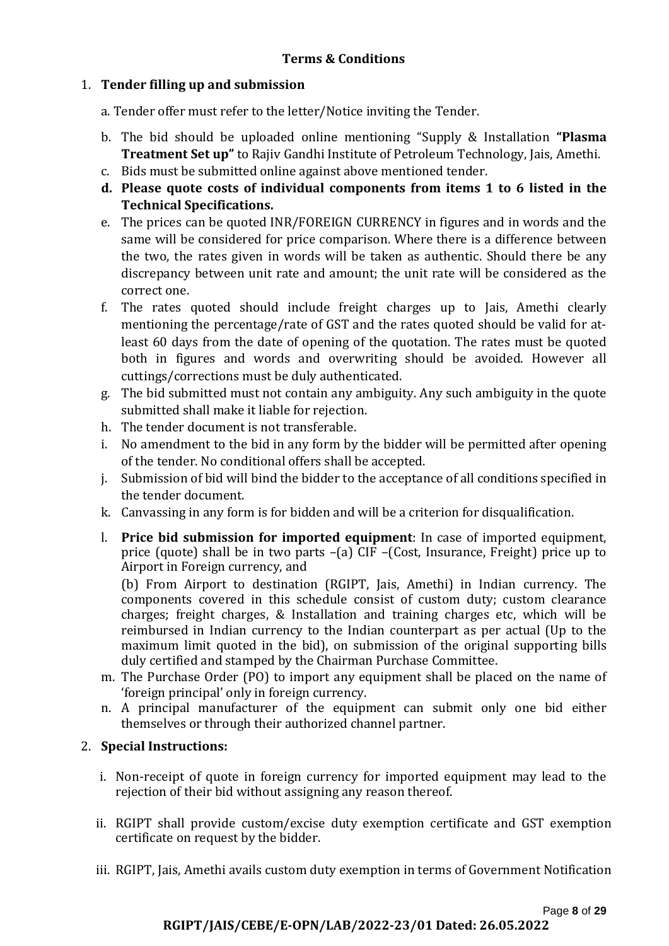## 1. **Tender filling up and submission**

a. Tender offer must refer to the letter/Notice inviting the Tender.

- b. The bid should be uploaded online mentioning "Supply & Installation **"Plasma Treatment Set up"** to Rajiv Gandhi Institute of Petroleum Technology, Jais, Amethi.
- c. Bids must be submitted online against above mentioned tender.
- **d. Please quote costs of individual components from items 1 to 6 listed in the Technical Specifications.**
- e. The prices can be quoted INR/FOREIGN CURRENCY in figures and in words and the same will be considered for price comparison. Where there is a difference between the two, the rates given in words will be taken as authentic. Should there be any discrepancy between unit rate and amount; the unit rate will be considered as the correct one.
- f. The rates quoted should include freight charges up to Jais, Amethi clearly mentioning the percentage/rate of GST and the rates quoted should be valid for atleast 60 days from the date of opening of the quotation. The rates must be quoted both in figures and words and overwriting should be avoided. However all cuttings/corrections must be duly authenticated.
- g. The bid submitted must not contain any ambiguity. Any such ambiguity in the quote submitted shall make it liable for rejection.
- h. The tender document is not transferable.
- i. No amendment to the bid in any form by the bidder will be permitted after opening of the tender. No conditional offers shall be accepted.
- j. Submission of bid will bind the bidder to the acceptance of all conditions specified in the tender document.
- k. Canvassing in any form is for bidden and will be a criterion for disqualification.
- l. **Price bid submission for imported equipment**: In case of imported equipment, price (quote) shall be in two parts –(a) CIF –(Cost, Insurance, Freight) price up to Airport in Foreign currency, and

(b) From Airport to destination (RGIPT, Jais, Amethi) in Indian currency. The components covered in this schedule consist of custom duty; custom clearance charges; freight charges, & Installation and training charges etc, which will be reimbursed in Indian currency to the Indian counterpart as per actual (Up to the maximum limit quoted in the bid), on submission of the original supporting bills duly certified and stamped by the Chairman Purchase Committee.

- m. The Purchase Order (PO) to import any equipment shall be placed on the name of 'foreign principal' only in foreign currency.
- n. A principal manufacturer of the equipment can submit only one bid either themselves or through their authorized channel partner.

## 2. **Special Instructions:**

- i. Non-receipt of quote in foreign currency for imported equipment may lead to the rejection of their bid without assigning any reason thereof.
- ii. RGIPT shall provide custom/excise duty exemption certificate and GST exemption certificate on request by the bidder.
- iii. RGIPT, Jais, Amethi avails custom duty exemption in terms of Government Notification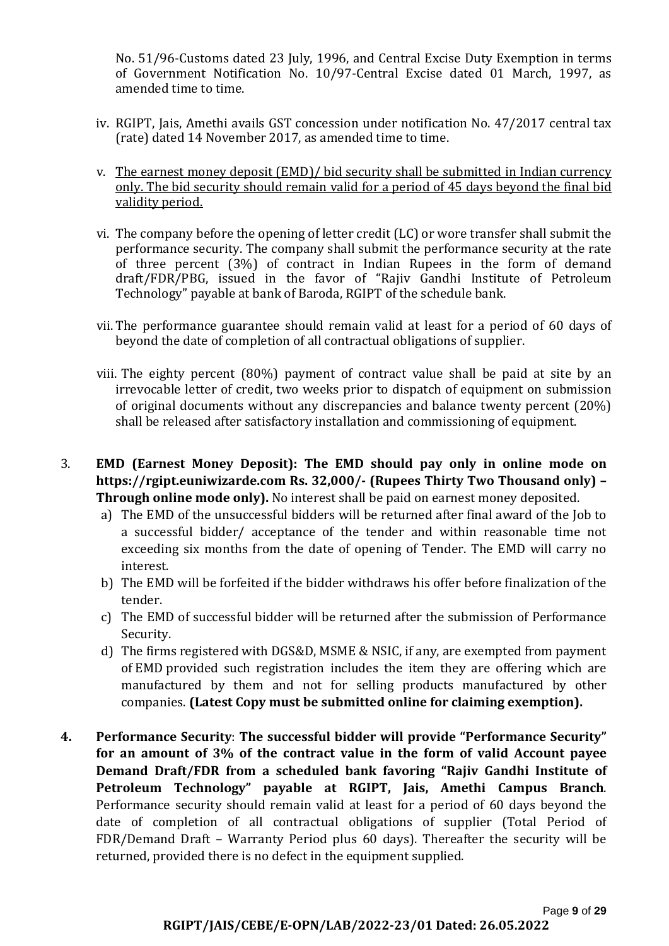No. 51/96-Customs dated 23 July, 1996, and Central Excise Duty Exemption in terms of Government Notification No. 10/97-Central Excise dated 01 March, 1997, as amended time to time.

- iv. RGIPT, Jais, Amethi avails GST concession under notification No. 47/2017 central tax (rate) dated 14 November 2017, as amended time to time.
- v. The earnest money deposit (EMD)/ bid security shall be submitted in Indian currency only. The bid security should remain valid for a period of 45 days beyond the final bid validity period.
- vi. The company before the opening of letter credit (LC) or wore transfer shall submit the performance security. The company shall submit the performance security at the rate of three percent (3%) of contract in Indian Rupees in the form of demand draft/FDR/PBG, issued in the favor of "Rajiv Gandhi Institute of Petroleum Technology" payable at bank of Baroda, RGIPT of the schedule bank.
- vii. The performance guarantee should remain valid at least for a period of 60 days of beyond the date of completion of all contractual obligations of supplier.
- viii. The eighty percent (80%) payment of contract value shall be paid at site by an irrevocable letter of credit, two weeks prior to dispatch of equipment on submission of original documents without any discrepancies and balance twenty percent (20%) shall be released after satisfactory installation and commissioning of equipment.
- 3. **EMD (Earnest Money Deposit): The EMD should pay only in online mode on https://rgipt.euniwizarde.com Rs. 32,000/- (Rupees Thirty Two Thousand only) – Through online mode only).** No interest shall be paid on earnest money deposited.
	- a) The EMD of the unsuccessful bidders will be returned after final award of the Job to a successful bidder/ acceptance of the tender and within reasonable time not exceeding six months from the date of opening of Tender. The EMD will carry no interest.
	- b) The EMD will be forfeited if the bidder withdraws his offer before finalization of the tender.
	- c) The EMD of successful bidder will be returned after the submission of Performance Security.
	- d) The firms registered with DGS&D, MSME & NSIC, if any, are exempted from payment of EMD provided such registration includes the item they are offering which are manufactured by them and not for selling products manufactured by other companies. **(Latest Copy must be submitted online for claiming exemption).**
- **4. Performance Security**: **The successful bidder will provide "Performance Security" for an amount of 3% of the contract value in the form of valid Account payee Demand Draft/FDR from a scheduled bank favoring "Rajiv Gandhi Institute of Petroleum Technology" payable at RGIPT, Jais, Amethi Campus Branch**. Performance security should remain valid at least for a period of 60 days beyond the date of completion of all contractual obligations of supplier (Total Period of FDR/Demand Draft – Warranty Period plus 60 days). Thereafter the security will be returned, provided there is no defect in the equipment supplied.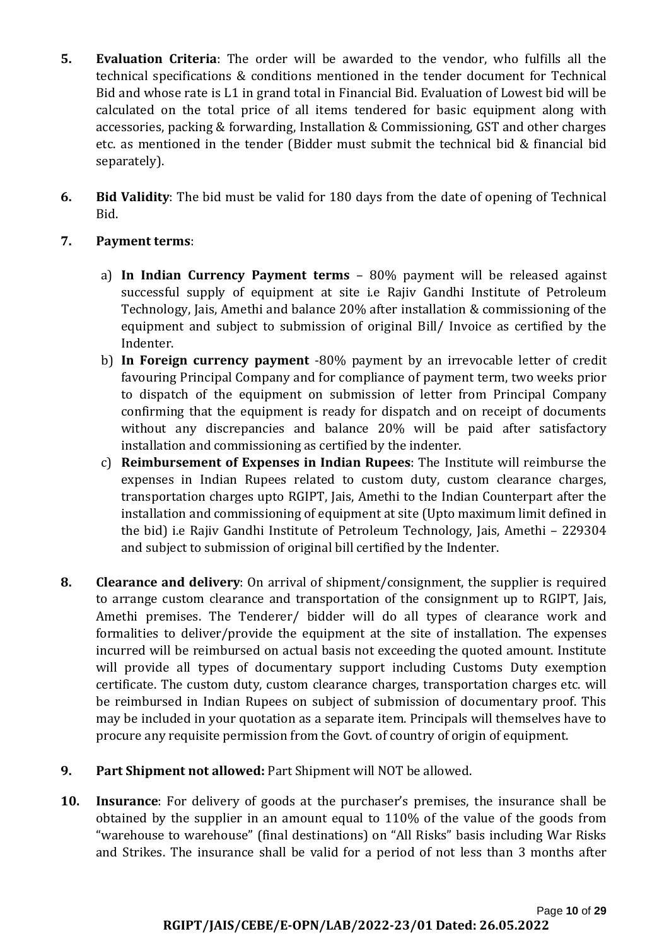- **5. Evaluation Criteria**: The order will be awarded to the vendor, who fulfills all the technical specifications & conditions mentioned in the tender document for Technical Bid and whose rate is L1 in grand total in Financial Bid. Evaluation of Lowest bid will be calculated on the total price of all items tendered for basic equipment along with accessories, packing & forwarding, Installation & Commissioning, GST and other charges etc. as mentioned in the tender (Bidder must submit the technical bid & financial bid separately).
- **6. Bid Validity**: The bid must be valid for 180 days from the date of opening of Technical Bid.

## **7. Payment terms**:

- a) **In Indian Currency Payment terms** 80% payment will be released against successful supply of equipment at site i.e Rajiv Gandhi Institute of Petroleum Technology, Jais, Amethi and balance 20% after installation & commissioning of the equipment and subject to submission of original Bill/ Invoice as certified by the Indenter.
- b) **In Foreign currency payment** -80% payment by an irrevocable letter of credit favouring Principal Company and for compliance of payment term, two weeks prior to dispatch of the equipment on submission of letter from Principal Company confirming that the equipment is ready for dispatch and on receipt of documents without any discrepancies and balance 20% will be paid after satisfactory installation and commissioning as certified by the indenter.
- c) **Reimbursement of Expenses in Indian Rupees**: The Institute will reimburse the expenses in Indian Rupees related to custom duty, custom clearance charges, transportation charges upto RGIPT, Jais, Amethi to the Indian Counterpart after the installation and commissioning of equipment at site (Upto maximum limit defined in the bid) i.e Rajiv Gandhi Institute of Petroleum Technology, Jais, Amethi – 229304 and subject to submission of original bill certified by the Indenter.
- **8. Clearance and delivery**: On arrival of shipment/consignment, the supplier is required to arrange custom clearance and transportation of the consignment up to RGIPT, Jais, Amethi premises. The Tenderer/ bidder will do all types of clearance work and formalities to deliver/provide the equipment at the site of installation. The expenses incurred will be reimbursed on actual basis not exceeding the quoted amount. Institute will provide all types of documentary support including Customs Duty exemption certificate. The custom duty, custom clearance charges, transportation charges etc. will be reimbursed in Indian Rupees on subject of submission of documentary proof. This may be included in your quotation as a separate item. Principals will themselves have to procure any requisite permission from the Govt. of country of origin of equipment.
- **9. Part Shipment not allowed:** Part Shipment will NOT be allowed.
- **10. Insurance**: For delivery of goods at the purchaser's premises, the insurance shall be obtained by the supplier in an amount equal to 110% of the value of the goods from "warehouse to warehouse" (final destinations) on "All Risks" basis including War Risks and Strikes. The insurance shall be valid for a period of not less than 3 months after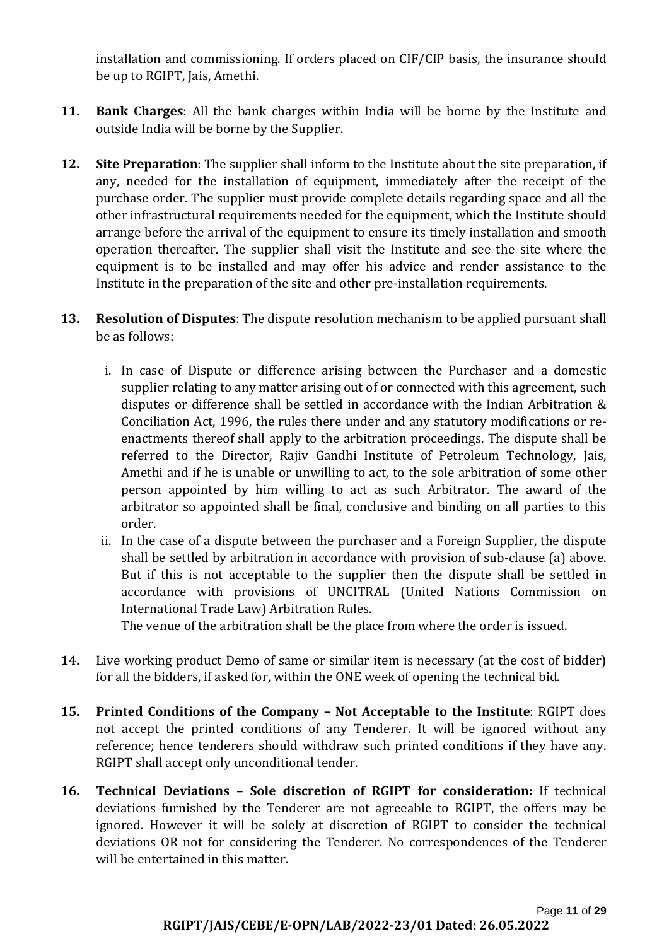installation and commissioning. If orders placed on CIF/CIP basis, the insurance should be up to RGIPT, Jais, Amethi.

- **11. Bank Charges**: All the bank charges within India will be borne by the Institute and outside India will be borne by the Supplier.
- **12. Site Preparation**: The supplier shall inform to the Institute about the site preparation, if any, needed for the installation of equipment, immediately after the receipt of the purchase order. The supplier must provide complete details regarding space and all the other infrastructural requirements needed for the equipment, which the Institute should arrange before the arrival of the equipment to ensure its timely installation and smooth operation thereafter. The supplier shall visit the Institute and see the site where the equipment is to be installed and may offer his advice and render assistance to the Institute in the preparation of the site and other pre-installation requirements.
- **13. Resolution of Disputes**: The dispute resolution mechanism to be applied pursuant shall be as follows:
	- i. In case of Dispute or difference arising between the Purchaser and a domestic supplier relating to any matter arising out of or connected with this agreement, such disputes or difference shall be settled in accordance with the Indian Arbitration & Conciliation Act, 1996, the rules there under and any statutory modifications or reenactments thereof shall apply to the arbitration proceedings. The dispute shall be referred to the Director, Rajiv Gandhi Institute of Petroleum Technology, Jais, Amethi and if he is unable or unwilling to act, to the sole arbitration of some other person appointed by him willing to act as such Arbitrator. The award of the arbitrator so appointed shall be final, conclusive and binding on all parties to this order.
	- ii. In the case of a dispute between the purchaser and a Foreign Supplier, the dispute shall be settled by arbitration in accordance with provision of sub-clause (a) above. But if this is not acceptable to the supplier then the dispute shall be settled in accordance with provisions of UNCITRAL (United Nations Commission on International Trade Law) Arbitration Rules.

The venue of the arbitration shall be the place from where the order is issued.

- **14.** Live working product Demo of same or similar item is necessary (at the cost of bidder) for all the bidders, if asked for, within the ONE week of opening the technical bid.
- **15. Printed Conditions of the Company – Not Acceptable to the Institute**: RGIPT does not accept the printed conditions of any Tenderer. It will be ignored without any reference; hence tenderers should withdraw such printed conditions if they have any. RGIPT shall accept only unconditional tender.
- **16. Technical Deviations – Sole discretion of RGIPT for consideration:** If technical deviations furnished by the Tenderer are not agreeable to RGIPT, the offers may be ignored. However it will be solely at discretion of RGIPT to consider the technical deviations OR not for considering the Tenderer. No correspondences of the Tenderer will be entertained in this matter.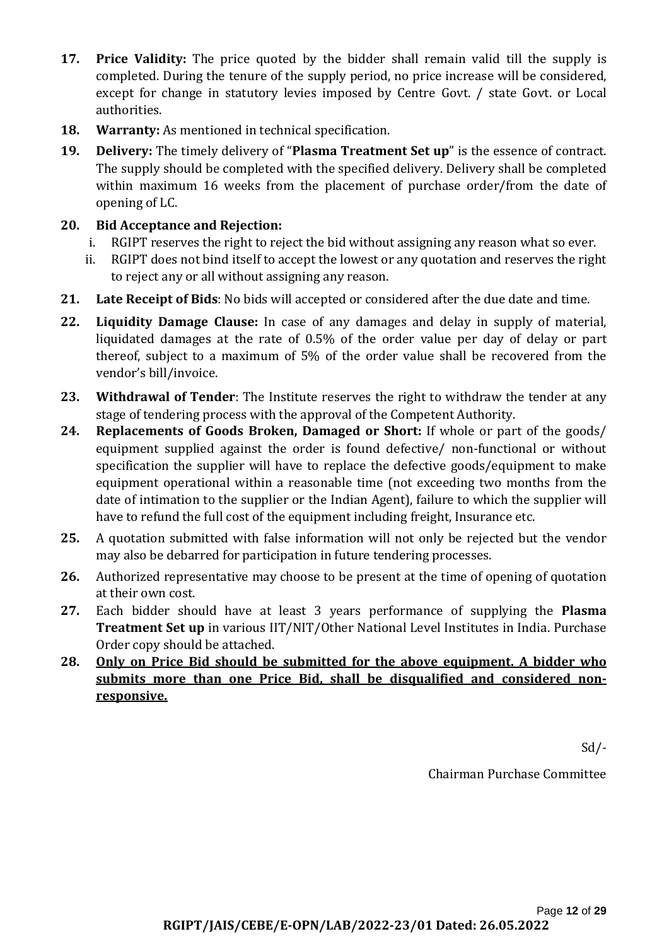- **17. Price Validity:** The price quoted by the bidder shall remain valid till the supply is completed. During the tenure of the supply period, no price increase will be considered, except for change in statutory levies imposed by Centre Govt. / state Govt. or Local authorities.
- **18. Warranty:** As mentioned in technical specification.
- **19. Delivery:** The timely delivery of "**Plasma Treatment Set up**" is the essence of contract. The supply should be completed with the specified delivery. Delivery shall be completed within maximum 16 weeks from the placement of purchase order/from the date of opening of LC.

# **20. Bid Acceptance and Rejection:**

- i. RGIPT reserves the right to reject the bid without assigning any reason what so ever.
- ii. RGIPT does not bind itself to accept the lowest or any quotation and reserves the right to reject any or all without assigning any reason.
- **21. Late Receipt of Bids**: No bids will accepted or considered after the due date and time.
- **22. Liquidity Damage Clause:** In case of any damages and delay in supply of material, liquidated damages at the rate of 0.5% of the order value per day of delay or part thereof, subject to a maximum of 5% of the order value shall be recovered from the vendor's bill/invoice.
- **23. Withdrawal of Tender**: The Institute reserves the right to withdraw the tender at any stage of tendering process with the approval of the Competent Authority.
- **24. Replacements of Goods Broken, Damaged or Short:** If whole or part of the goods/ equipment supplied against the order is found defective/ non-functional or without specification the supplier will have to replace the defective goods/equipment to make equipment operational within a reasonable time (not exceeding two months from the date of intimation to the supplier or the Indian Agent), failure to which the supplier will have to refund the full cost of the equipment including freight, Insurance etc.
- **25.** A quotation submitted with false information will not only be rejected but the vendor may also be debarred for participation in future tendering processes.
- **26.** Authorized representative may choose to be present at the time of opening of quotation at their own cost.
- **27.** Each bidder should have at least 3 years performance of supplying the **Plasma Treatment Set up** in various IIT/NIT/Other National Level Institutes in India. Purchase Order copy should be attached.
- **28. Only on Price Bid should be submitted for the above equipment. A bidder who submits more than one Price Bid, shall be disqualified and considered nonresponsive.**

Sd/-

Chairman Purchase Committee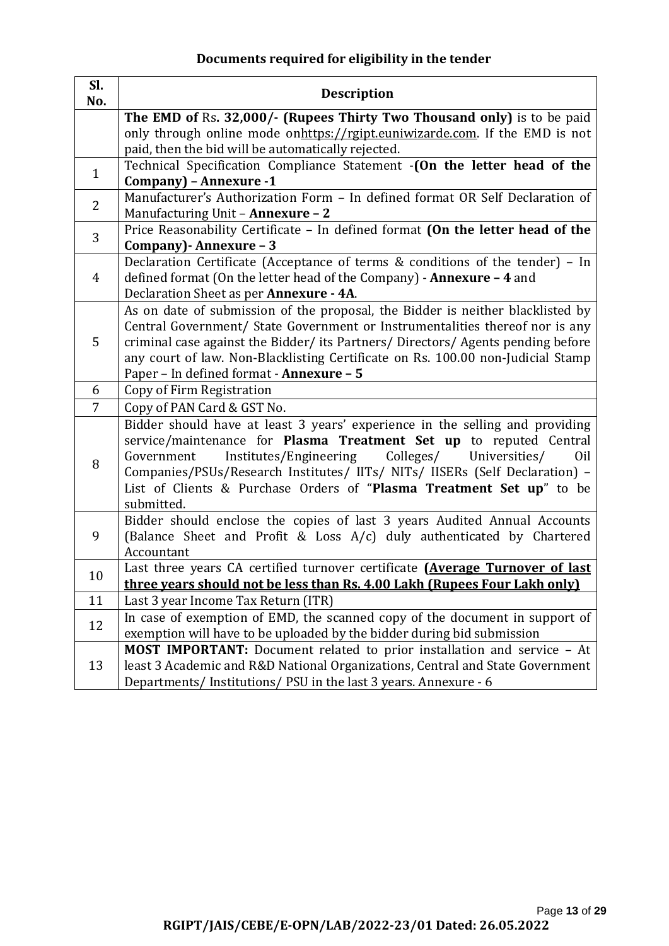# **Documents required for eligibility in the tender**

| Sl.<br>No.     | <b>Description</b>                                                                                                                                            |
|----------------|---------------------------------------------------------------------------------------------------------------------------------------------------------------|
|                | The EMD of Rs. 32,000/- (Rupees Thirty Two Thousand only) is to be paid<br>only through online mode onhttps://rgipt.euniwizarde.com. If the EMD is not        |
|                | paid, then the bid will be automatically rejected.                                                                                                            |
| $\mathbf{1}$   | Technical Specification Compliance Statement - (On the letter head of the<br>Company) - Annexure -1                                                           |
| $\overline{2}$ | Manufacturer's Authorization Form - In defined format OR Self Declaration of                                                                                  |
|                | Manufacturing Unit - Annexure - 2                                                                                                                             |
| 3              | Price Reasonability Certificate - In defined format (On the letter head of the                                                                                |
|                | Company) - Annexure - 3                                                                                                                                       |
| $\overline{4}$ | Declaration Certificate (Acceptance of terms & conditions of the tender) - In<br>defined format (On the letter head of the Company) - <b>Annexure - 4</b> and |
|                | Declaration Sheet as per Annexure - 4A.                                                                                                                       |
|                | As on date of submission of the proposal, the Bidder is neither blacklisted by                                                                                |
|                | Central Government/ State Government or Instrumentalities thereof nor is any                                                                                  |
| 5              | criminal case against the Bidder/ its Partners/ Directors/ Agents pending before                                                                              |
|                | any court of law. Non-Blacklisting Certificate on Rs. 100.00 non-Judicial Stamp                                                                               |
| 6              | Paper - In defined format - Annexure - 5<br>Copy of Firm Registration                                                                                         |
| 7              | Copy of PAN Card & GST No.                                                                                                                                    |
|                | Bidder should have at least 3 years' experience in the selling and providing                                                                                  |
|                | service/maintenance for Plasma Treatment Set up to reputed Central                                                                                            |
|                | Government<br>Institutes/Engineering<br>Colleges/<br>Universities/<br>Oil                                                                                     |
| 8              | Companies/PSUs/Research Institutes/ IITs/ NITs/ IISERs (Self Declaration) -                                                                                   |
|                | List of Clients & Purchase Orders of "Plasma Treatment Set up" to be                                                                                          |
|                | submitted.                                                                                                                                                    |
| 9              | Bidder should enclose the copies of last 3 years Audited Annual Accounts                                                                                      |
|                | (Balance Sheet and Profit & Loss A/c) duly authenticated by Chartered<br>Accountant                                                                           |
|                | Last three years CA certified turnover certificate (Average Turnover of last                                                                                  |
| 10             | three years should not be less than Rs. 4.00 Lakh (Rupees Four Lakh only)                                                                                     |
| 11             | Last 3 year Income Tax Return (ITR)                                                                                                                           |
| 12             | In case of exemption of EMD, the scanned copy of the document in support of                                                                                   |
|                | exemption will have to be uploaded by the bidder during bid submission                                                                                        |
|                | <b>MOST IMPORTANT:</b> Document related to prior installation and service - At                                                                                |
| 13             | least 3 Academic and R&D National Organizations, Central and State Government                                                                                 |
|                | Departments/Institutions/PSU in the last 3 years. Annexure - 6                                                                                                |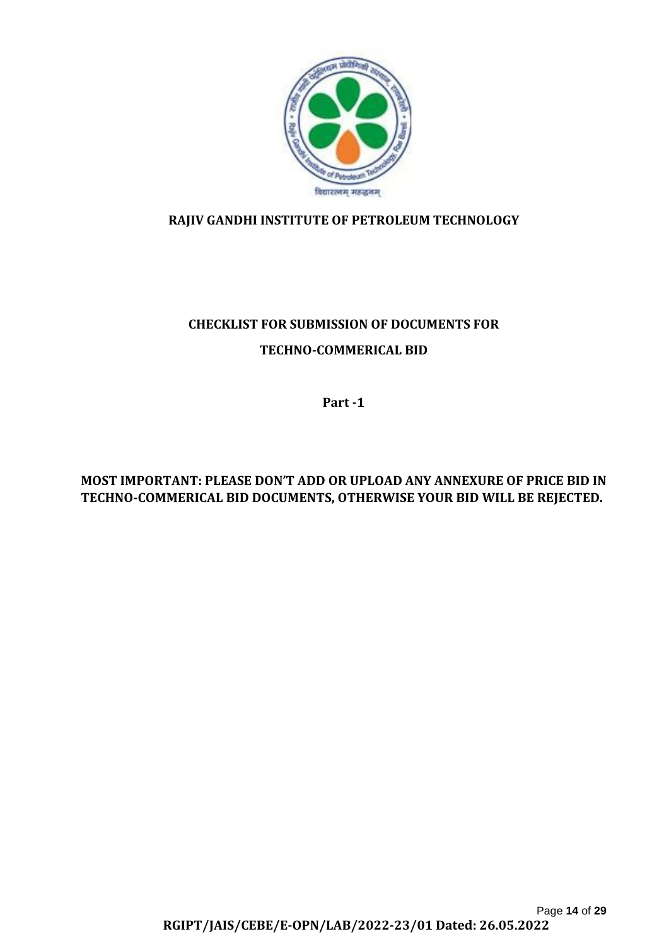

# **RAJIV GANDHI INSTITUTE OF PETROLEUM TECHNOLOGY**

# **CHECKLIST FOR SUBMISSION OF DOCUMENTS FOR TECHNO-COMMERICAL BID**

**Part -1**

# **MOST IMPORTANT: PLEASE DON'T ADD OR UPLOAD ANY ANNEXURE OF PRICE BID IN TECHNO-COMMERICAL BID DOCUMENTS, OTHERWISE YOUR BID WILL BE REJECTED.**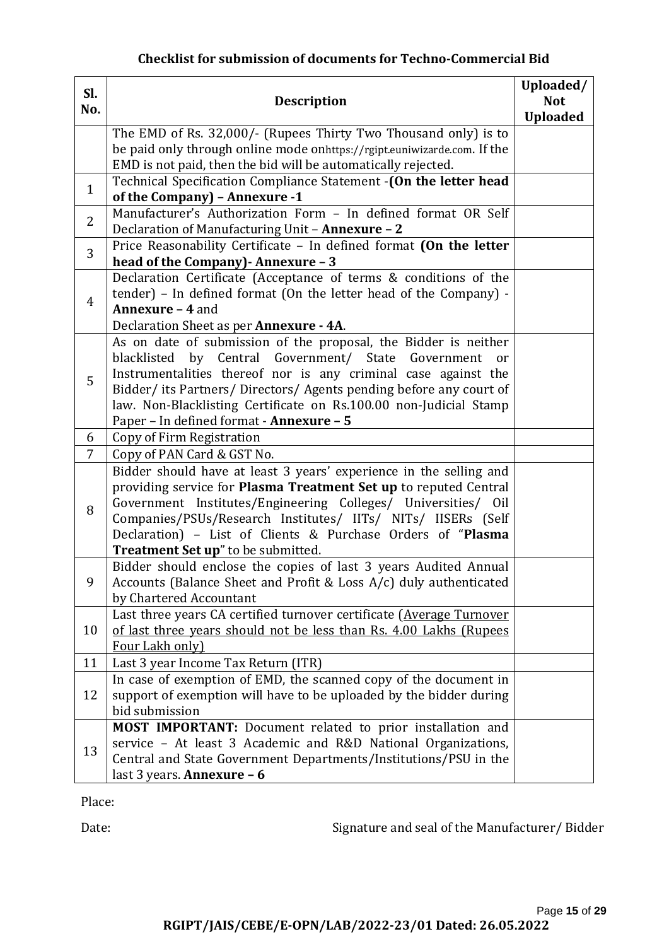# **Checklist for submission of documents for Techno-Commercial Bid**

| SI.<br>No.     | <b>Description</b>                                                                                                                                    |                 |
|----------------|-------------------------------------------------------------------------------------------------------------------------------------------------------|-----------------|
|                | The EMD of Rs. 32,000/- (Rupees Thirty Two Thousand only) is to                                                                                       | <b>Uploaded</b> |
|                | be paid only through online mode on https://rgipt.euniwizarde.com. If the                                                                             |                 |
|                | EMD is not paid, then the bid will be automatically rejected.                                                                                         |                 |
| $\mathbf{1}$   | Technical Specification Compliance Statement - (On the letter head<br>of the Company) - Annexure -1                                                   |                 |
| $\overline{2}$ | Manufacturer's Authorization Form - In defined format OR Self<br>Declaration of Manufacturing Unit - Annexure - 2                                     |                 |
|                | Price Reasonability Certificate - In defined format (On the letter                                                                                    |                 |
| 3              | head of the Company) - Annexure - 3                                                                                                                   |                 |
|                | Declaration Certificate (Acceptance of terms & conditions of the                                                                                      |                 |
| $\overline{4}$ | tender) - In defined format (On the letter head of the Company) -                                                                                     |                 |
|                | Annexure - 4 and                                                                                                                                      |                 |
|                | Declaration Sheet as per Annexure - 4A.                                                                                                               |                 |
|                | As on date of submission of the proposal, the Bidder is neither                                                                                       |                 |
|                | Central<br>Government/<br>blacklisted<br>by<br>State<br>Government<br><sub>or</sub><br>Instrumentalities thereof nor is any criminal case against the |                 |
| 5              | Bidder/its Partners/Directors/Agents pending before any court of                                                                                      |                 |
|                | law. Non-Blacklisting Certificate on Rs.100.00 non-Judicial Stamp                                                                                     |                 |
|                | Paper - In defined format - Annexure - 5                                                                                                              |                 |
| 6              | Copy of Firm Registration                                                                                                                             |                 |
| $\overline{7}$ | Copy of PAN Card & GST No.                                                                                                                            |                 |
|                | Bidder should have at least 3 years' experience in the selling and                                                                                    |                 |
|                | providing service for Plasma Treatment Set up to reputed Central                                                                                      |                 |
| 8              | Government Institutes/Engineering Colleges/ Universities/ Oil                                                                                         |                 |
|                | Companies/PSUs/Research Institutes/ IITs/ NITs/ IISERs (Self                                                                                          |                 |
|                | Declaration) - List of Clients & Purchase Orders of "Plasma                                                                                           |                 |
|                | <b>Treatment Set up</b> " to be submitted.                                                                                                            |                 |
|                | Bidder should enclose the copies of last 3 years Audited Annual                                                                                       |                 |
| 9              | Accounts (Balance Sheet and Profit & Loss A/c) duly authenticated                                                                                     |                 |
|                | by Chartered Accountant                                                                                                                               |                 |
| 10             | Last three years CA certified turnover certificate (Average Turnover<br>of last three years should not be less than Rs. 4.00 Lakhs (Rupees            |                 |
|                | Four Lakh only)                                                                                                                                       |                 |
| 11             | Last 3 year Income Tax Return (ITR)                                                                                                                   |                 |
|                | In case of exemption of EMD, the scanned copy of the document in                                                                                      |                 |
| 12             | support of exemption will have to be uploaded by the bidder during                                                                                    |                 |
|                | bid submission                                                                                                                                        |                 |
|                | MOST IMPORTANT: Document related to prior installation and                                                                                            |                 |
|                | service - At least 3 Academic and R&D National Organizations,                                                                                         |                 |
| 13             | Central and State Government Departments/Institutions/PSU in the                                                                                      |                 |
|                | last 3 years. <b>Annexure - 6</b>                                                                                                                     |                 |

Place:

Date: Signature and seal of the Manufacturer/ Bidder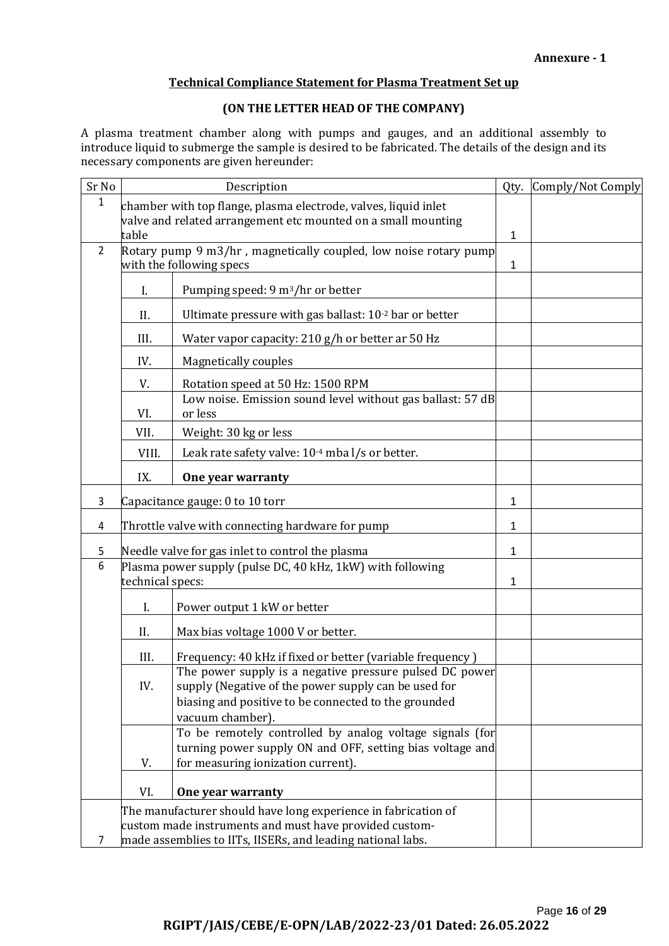#### **Technical Compliance Statement for Plasma Treatment Set up**

#### **(ON THE LETTER HEAD OF THE COMPANY)**

A plasma treatment chamber along with pumps and gauges, and an additional assembly to introduce liquid to submerge the sample is desired to be fabricated. The details of the design and its necessary components are given hereunder:

| Sr No          | Description                                                                                                                                                                             |                                                                                                                                                                                             | Qty.         | Comply/Not Comply |
|----------------|-----------------------------------------------------------------------------------------------------------------------------------------------------------------------------------------|---------------------------------------------------------------------------------------------------------------------------------------------------------------------------------------------|--------------|-------------------|
| 1              | chamber with top flange, plasma electrode, valves, liquid inlet<br>valve and related arrangement etc mounted on a small mounting<br>table                                               |                                                                                                                                                                                             | 1            |                   |
| $\overline{2}$ | Rotary pump 9 m3/hr, magnetically coupled, low noise rotary pump<br>with the following specs                                                                                            |                                                                                                                                                                                             |              |                   |
|                | I.                                                                                                                                                                                      | Pumping speed: 9 m <sup>3</sup> /hr or better                                                                                                                                               |              |                   |
|                | II.                                                                                                                                                                                     | Ultimate pressure with gas ballast: 10-2 bar or better                                                                                                                                      |              |                   |
|                | III.                                                                                                                                                                                    | Water vapor capacity: 210 g/h or better ar 50 Hz                                                                                                                                            |              |                   |
|                | IV.                                                                                                                                                                                     | Magnetically couples                                                                                                                                                                        |              |                   |
|                | V.                                                                                                                                                                                      | Rotation speed at 50 Hz: 1500 RPM                                                                                                                                                           |              |                   |
|                | VI.                                                                                                                                                                                     | Low noise. Emission sound level without gas ballast: 57 dB<br>or less                                                                                                                       |              |                   |
|                | VII.                                                                                                                                                                                    | Weight: 30 kg or less                                                                                                                                                                       |              |                   |
|                | VIII.                                                                                                                                                                                   | Leak rate safety valve: 10 <sup>-4</sup> mba l/s or better.                                                                                                                                 |              |                   |
|                | IX.                                                                                                                                                                                     | One year warranty                                                                                                                                                                           |              |                   |
| 3              |                                                                                                                                                                                         | Capacitance gauge: 0 to 10 torr                                                                                                                                                             | 1            |                   |
| 4              |                                                                                                                                                                                         | Throttle valve with connecting hardware for pump                                                                                                                                            | 1            |                   |
| 5              |                                                                                                                                                                                         | Needle valve for gas inlet to control the plasma                                                                                                                                            | 1            |                   |
| 6              | Plasma power supply (pulse DC, 40 kHz, 1kW) with following<br>technical specs:                                                                                                          |                                                                                                                                                                                             | $\mathbf{1}$ |                   |
|                | I.                                                                                                                                                                                      | Power output 1 kW or better                                                                                                                                                                 |              |                   |
|                | II.                                                                                                                                                                                     | Max bias voltage 1000 V or better.                                                                                                                                                          |              |                   |
|                | III.                                                                                                                                                                                    | Frequency: 40 kHz if fixed or better (variable frequency)                                                                                                                                   |              |                   |
|                | IV.                                                                                                                                                                                     | The power supply is a negative pressure pulsed DC power<br>supply (Negative of the power supply can be used for<br>biasing and positive to be connected to the grounded<br>vacuum chamber). |              |                   |
|                | V.                                                                                                                                                                                      | To be remotely controlled by analog voltage signals (for<br>turning power supply ON and OFF, setting bias voltage and<br>for measuring ionization current).                                 |              |                   |
|                | VI.                                                                                                                                                                                     | One year warranty                                                                                                                                                                           |              |                   |
| 7              | The manufacturer should have long experience in fabrication of<br>custom made instruments and must have provided custom-<br>made assemblies to IITs, IISERs, and leading national labs. |                                                                                                                                                                                             |              |                   |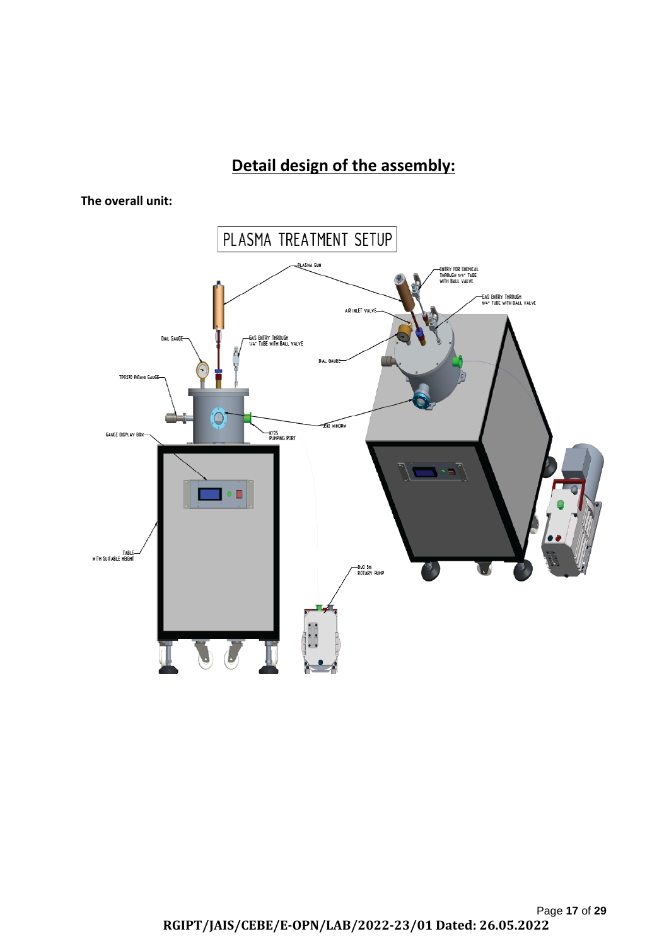# **Detail design of the assembly:**



**The overall unit:**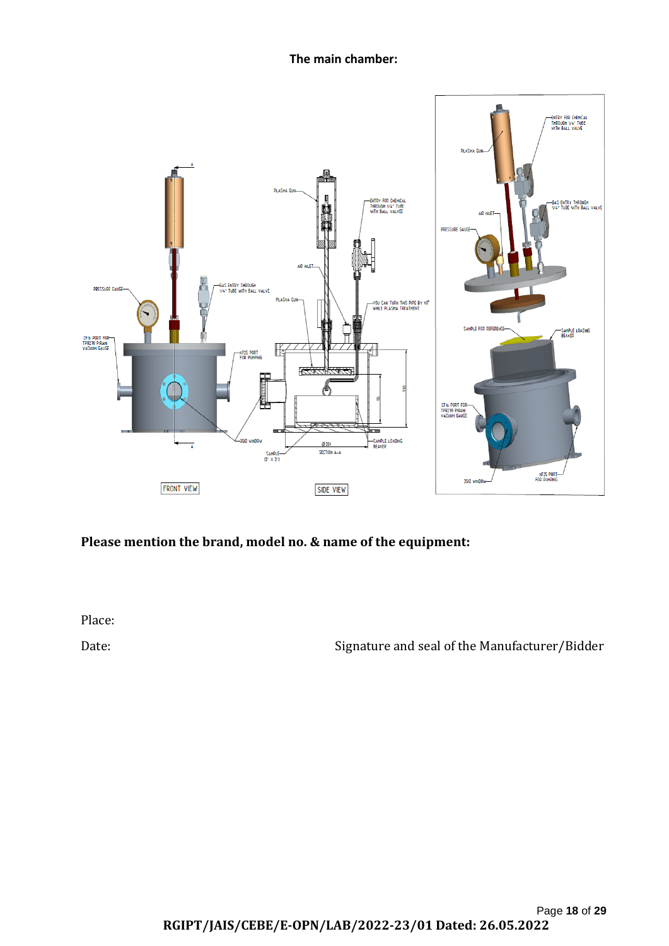**The main chamber:**



# **Please mention the brand, model no. & name of the equipment:**

Place:

Date: Signature and seal of the Manufacturer/Bidder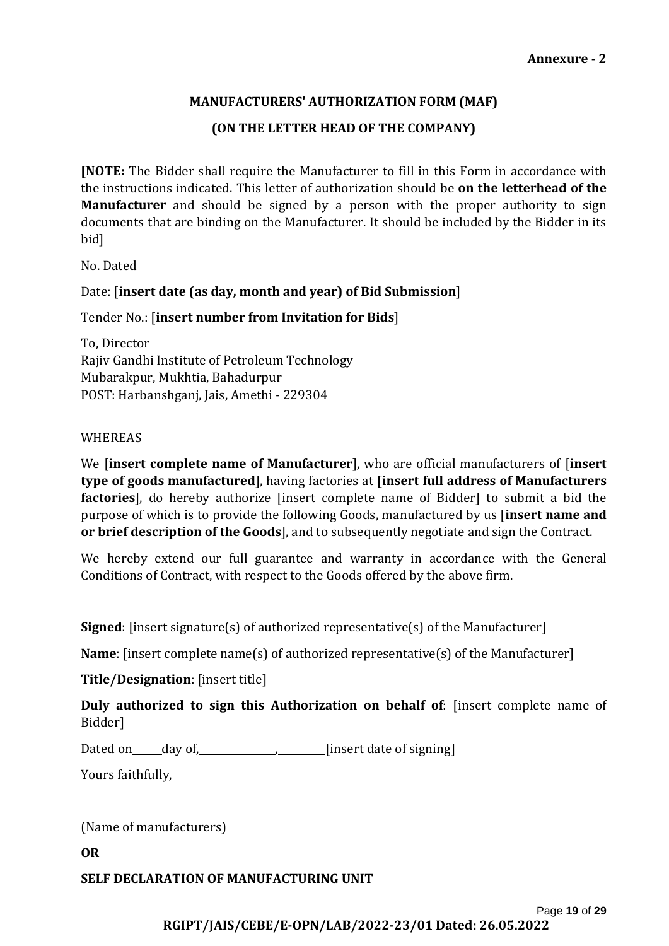### **MANUFACTURERS' AUTHORIZATION FORM (MAF)**

## **(ON THE LETTER HEAD OF THE COMPANY)**

**[NOTE:** The Bidder shall require the Manufacturer to fill in this Form in accordance with the instructions indicated. This letter of authorization should be **on the letterhead of the Manufacturer** and should be signed by a person with the proper authority to sign documents that are binding on the Manufacturer. It should be included by the Bidder in its bid]

No. Dated

Date: [**insert date (as day, month and year) of Bid Submission**]

Tender No.: [**insert number from Invitation for Bids**]

To, Director Rajiv Gandhi Institute of Petroleum Technology Mubarakpur, Mukhtia, Bahadurpur POST: Harbanshganj, Jais, Amethi - 229304

#### WHEREAS

We [**insert complete name of Manufacturer**], who are official manufacturers of [**insert type of goods manufactured**], having factories at **[insert full address of Manufacturers factories**], do hereby authorize [insert complete name of Bidder] to submit a bid the purpose of which is to provide the following Goods, manufactured by us [**insert name and or brief description of the Goods**], and to subsequently negotiate and sign the Contract.

We hereby extend our full guarantee and warranty in accordance with the General Conditions of Contract, with respect to the Goods offered by the above firm.

**Signed**: [insert signature(s) of authorized representative(s) of the Manufacturer]

**Name**: [insert complete name(s) of authorized representative(s) of the Manufacturer]

**Title/Designation**: [insert title]

**Duly authorized to sign this Authorization on behalf of**: [insert complete name of Bidder]

Dated on day of, [insert date of signing]

Yours faithfully,

(Name of manufacturers)

**OR**

**SELF DECLARATION OF MANUFACTURING UNIT**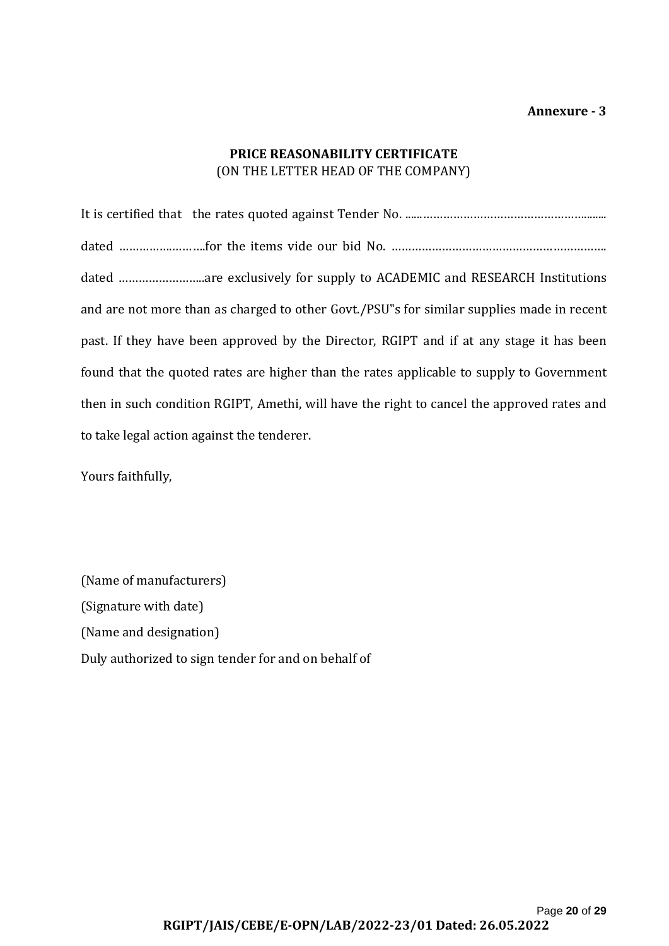## **PRICE REASONABILITY CERTIFICATE** (ON THE LETTER HEAD OF THE COMPANY)

It is certified that the rates quoted against Tender No. ......…………………………………………........ dated …………………………for the items vide our bid No. ……………………………………………………………………………………… dated ……………………..are exclusively for supply to ACADEMIC and RESEARCH Institutions and are not more than as charged to other Govt./PSU"s for similar supplies made in recent past. If they have been approved by the Director, RGIPT and if at any stage it has been found that the quoted rates are higher than the rates applicable to supply to Government then in such condition RGIPT, Amethi, will have the right to cancel the approved rates and to take legal action against the tenderer.

Yours faithfully,

(Name of manufacturers) (Signature with date) (Name and designation) Duly authorized to sign tender for and on behalf of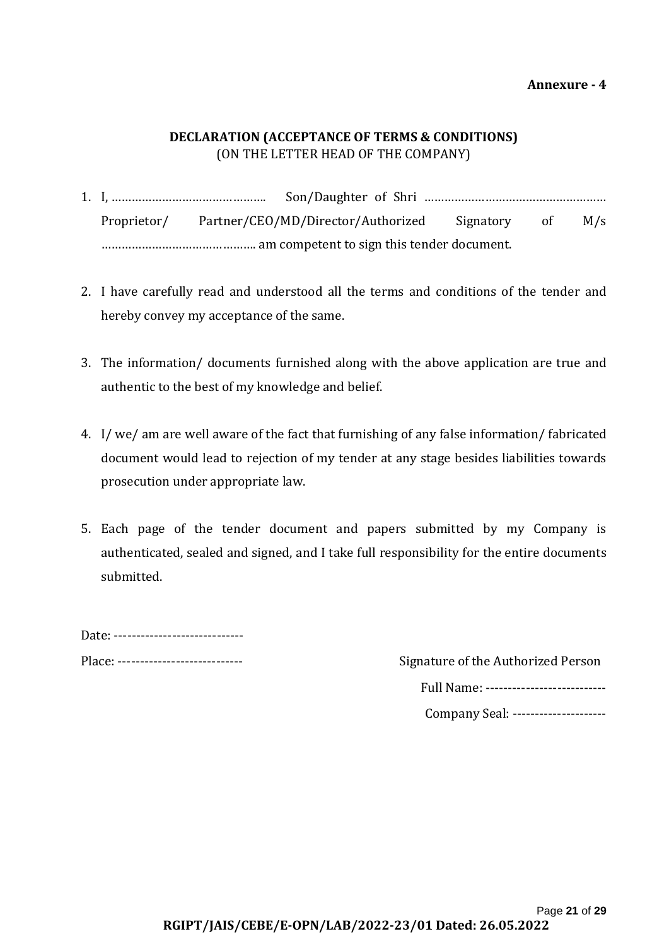**Annexure - 4**

## **DECLARATION (ACCEPTANCE OF TERMS & CONDITIONS)** (ON THE LETTER HEAD OF THE COMPANY)

- 1. I, ………………………………………. Son/Daughter of Shri ……………………………………………… Proprietor/ Partner/CEO/MD/Director/Authorized Signatory of M/s ………………………………………. am competent to sign this tender document.
- 2. I have carefully read and understood all the terms and conditions of the tender and hereby convey my acceptance of the same.
- 3. The information/ documents furnished along with the above application are true and authentic to the best of my knowledge and belief.
- 4. I/ we/ am are well aware of the fact that furnishing of any false information/ fabricated document would lead to rejection of my tender at any stage besides liabilities towards prosecution under appropriate law.
- 5. Each page of the tender document and papers submitted by my Company is authenticated, sealed and signed, and I take full responsibility for the entire documents submitted.

Date: ----------------------------------

Place: ---------------------------- Signature of the Authorized Person

| Full Name: --------------------------- |
|----------------------------------------|
|                                        |

Company Seal: ---------------------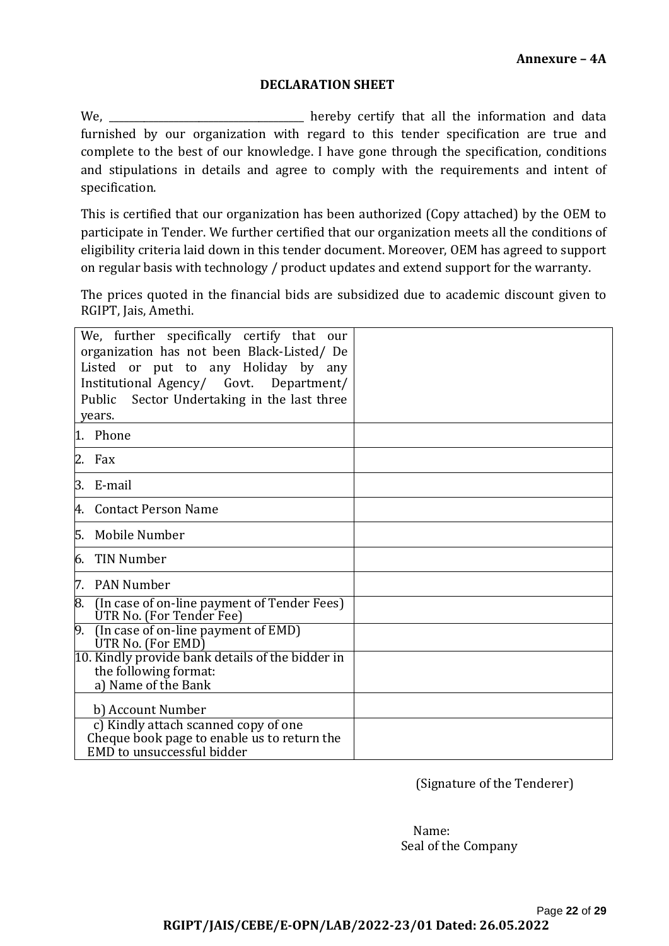#### **DECLARATION SHEET**

We, <u>\_\_\_\_\_\_\_\_\_\_\_\_</u> hereby certify that all the information and data furnished by our organization with regard to this tender specification are true and complete to the best of our knowledge. I have gone through the specification, conditions and stipulations in details and agree to comply with the requirements and intent of specification.

This is certified that our organization has been authorized (Copy attached) by the OEM to participate in Tender. We further certified that our organization meets all the conditions of eligibility criteria laid down in this tender document. Moreover, OEM has agreed to support on regular basis with technology / product updates and extend support for the warranty.

The prices quoted in the financial bids are subsidized due to academic discount given to RGIPT, Jais, Amethi.

| We, further specifically certify that our<br>organization has not been Black-Listed/De<br>Listed or put to any Holiday by any<br>Institutional Agency/ Govt. Department/<br>Public Sector Undertaking in the last three<br>years. |  |
|-----------------------------------------------------------------------------------------------------------------------------------------------------------------------------------------------------------------------------------|--|
| 1. Phone                                                                                                                                                                                                                          |  |
| 2.<br>Fax                                                                                                                                                                                                                         |  |
| E-mail<br>3.                                                                                                                                                                                                                      |  |
| <b>Contact Person Name</b><br>4.                                                                                                                                                                                                  |  |
| 5.<br>Mobile Number                                                                                                                                                                                                               |  |
| <b>TIN Number</b><br>6.                                                                                                                                                                                                           |  |
| <b>PAN Number</b><br>7.                                                                                                                                                                                                           |  |
| 8.<br>(In case of on-line payment of Tender Fees)<br>UTR No. (For Tender Fee)                                                                                                                                                     |  |
| (In case of on-line payment of EMD)<br>9.<br>UTR No. (For EMD)                                                                                                                                                                    |  |
| 10. Kindly provide bank details of the bidder in<br>the following format:<br>a) Name of the Bank                                                                                                                                  |  |
| b) Account Number                                                                                                                                                                                                                 |  |
| c) Kindly attach scanned copy of one<br>Cheque book page to enable us to return the<br>EMD to unsuccessful bidder                                                                                                                 |  |

(Signature of the Tenderer)

 Name: Seal of the Company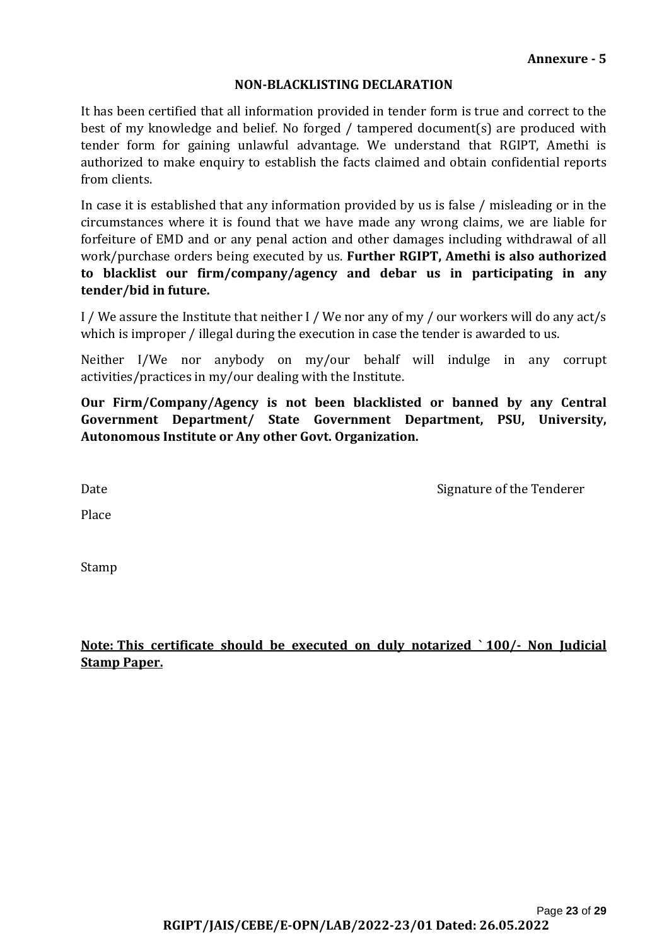#### **NON-BLACKLISTING DECLARATION**

It has been certified that all information provided in tender form is true and correct to the best of my knowledge and belief. No forged / tampered document(s) are produced with tender form for gaining unlawful advantage. We understand that RGIPT, Amethi is authorized to make enquiry to establish the facts claimed and obtain confidential reports from clients.

In case it is established that any information provided by us is false / misleading or in the circumstances where it is found that we have made any wrong claims, we are liable for forfeiture of EMD and or any penal action and other damages including withdrawal of all work/purchase orders being executed by us. **Further RGIPT, Amethi is also authorized to blacklist our firm/company/agency and debar us in participating in any tender/bid in future.**

I / We assure the Institute that neither I / We nor any of my / our workers will do any act/s which is improper / illegal during the execution in case the tender is awarded to us.

Neither I/We nor anybody on my/our behalf will indulge in any corrupt activities/practices in my/our dealing with the Institute.

**Our Firm/Company/Agency is not been blacklisted or banned by any Central Government Department/ State Government Department, PSU, University, Autonomous Institute or Any other Govt. Organization.**

Date **Signature of the Tenderer** Signature of the Tenderer

Place **Place** 

Stamp

**Note: This certificate should be executed on duly notarized ` 100/- Non Judicial Stamp Paper.**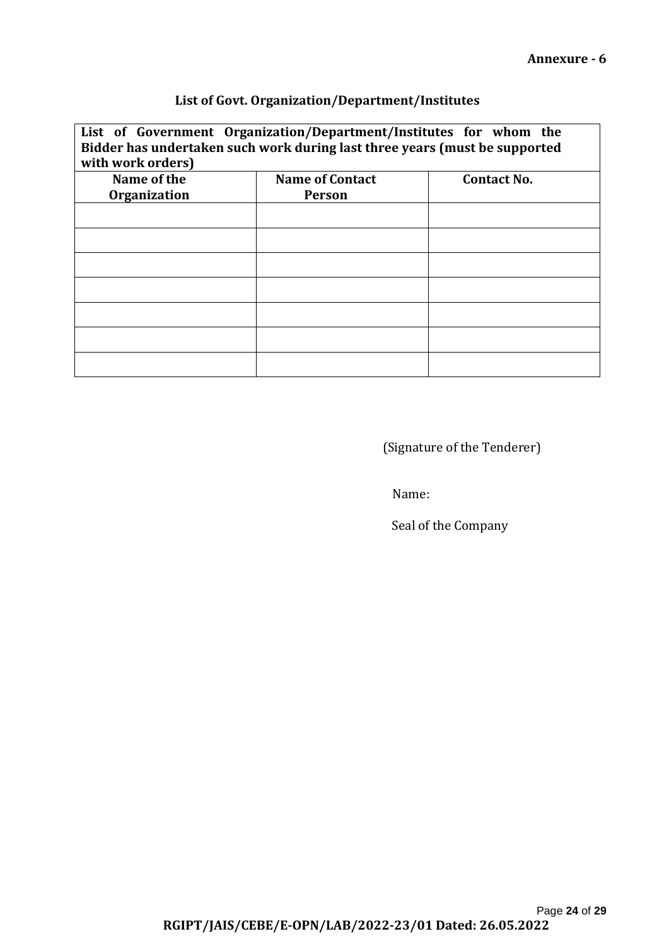## **List of Govt. Organization/Department/Institutes**

| List of Government Organization/Department/Institutes for whom the<br>Bidder has undertaken such work during last three years (must be supported<br>with work orders) |                        |                    |  |  |
|-----------------------------------------------------------------------------------------------------------------------------------------------------------------------|------------------------|--------------------|--|--|
| Name of the                                                                                                                                                           | <b>Name of Contact</b> | <b>Contact No.</b> |  |  |
| <b>Organization</b>                                                                                                                                                   | <b>Person</b>          |                    |  |  |
|                                                                                                                                                                       |                        |                    |  |  |
|                                                                                                                                                                       |                        |                    |  |  |
|                                                                                                                                                                       |                        |                    |  |  |
|                                                                                                                                                                       |                        |                    |  |  |
|                                                                                                                                                                       |                        |                    |  |  |
|                                                                                                                                                                       |                        |                    |  |  |
|                                                                                                                                                                       |                        |                    |  |  |

(Signature of the Tenderer)

Name:

Seal of the Company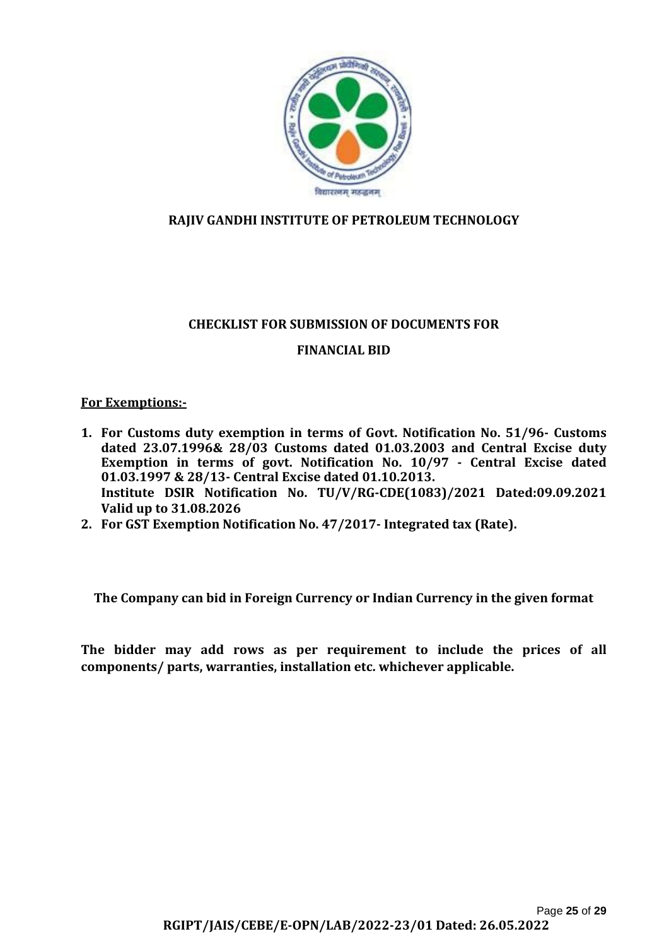

## **RAJIV GANDHI INSTITUTE OF PETROLEUM TECHNOLOGY**

## **CHECKLIST FOR SUBMISSION OF DOCUMENTS FOR**

## **FINANCIAL BID**

#### **For Exemptions:-**

- **1. For Customs duty exemption in terms of Govt. Notification No. 51/96- Customs dated 23.07.1996& 28/03 Customs dated 01.03.2003 and Central Excise duty Exemption in terms of govt. Notification No. 10/97 - Central Excise dated 01.03.1997 & 28/13- Central Excise dated 01.10.2013. Institute DSIR Notification No. TU/V/RG-CDE(1083)/2021 Dated:09.09.2021 Valid up to 31.08.2026**
- **2. For GST Exemption Notification No. 47/2017- Integrated tax (Rate).**

**The Company can bid in Foreign Currency or Indian Currency in the given format**

**The bidder may add rows as per requirement to include the prices of all components/ parts, warranties, installation etc. whichever applicable.**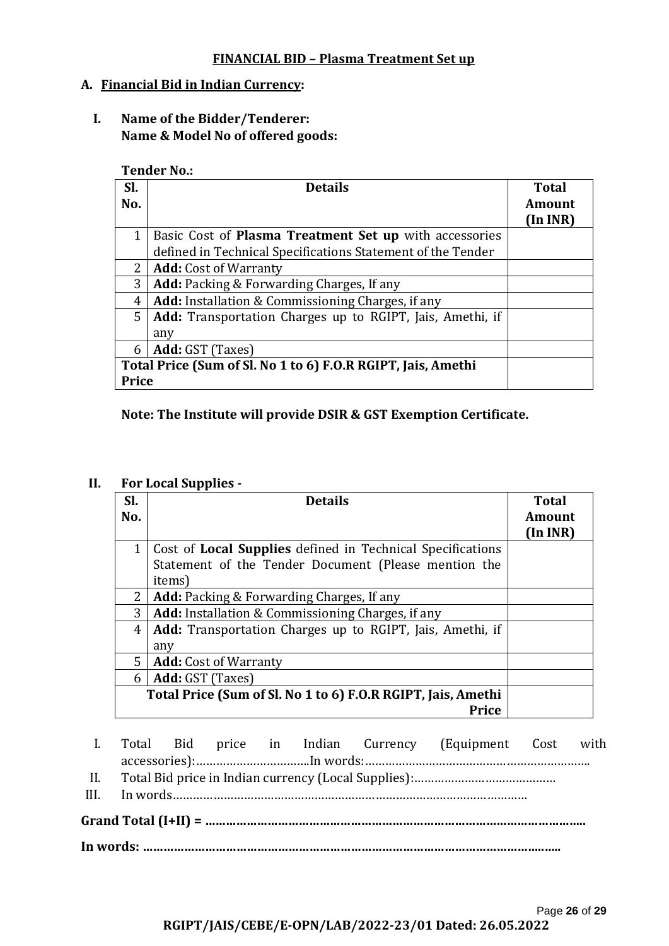#### **FINANCIAL BID – Plasma Treatment Set up**

#### **A. Financial Bid in Indian Currency:**

**I. Name of the Bidder/Tenderer: Name & Model No of offered goods:**

**Tender No.:**

| Sl.                                                          | <b>Details</b>                                                | <b>Total</b> |
|--------------------------------------------------------------|---------------------------------------------------------------|--------------|
| No.                                                          |                                                               | Amount       |
|                                                              |                                                               | (In INR)     |
| 1                                                            | Basic Cost of <b>Plasma Treatment Set up</b> with accessories |              |
|                                                              | defined in Technical Specifications Statement of the Tender   |              |
| $2^{\circ}$                                                  | <b>Add:</b> Cost of Warranty                                  |              |
| 3                                                            | <b>Add:</b> Packing & Forwarding Charges, If any              |              |
| 4                                                            | <b>Add:</b> Installation & Commissioning Charges, if any      |              |
| 5 <sup>1</sup>                                               | Add: Transportation Charges up to RGIPT, Jais, Amethi, if     |              |
|                                                              | any                                                           |              |
| 6                                                            | Add: GST (Taxes)                                              |              |
| Total Price (Sum of Sl. No 1 to 6) F.O.R RGIPT, Jais, Amethi |                                                               |              |
| <b>Price</b>                                                 |                                                               |              |

#### **Note: The Institute will provide DSIR & GST Exemption Certificate.**

#### **II. For Local Supplies -**

| Sl.<br>No.   | <b>Details</b>                                                    | <b>Total</b><br><b>Amount</b> |
|--------------|-------------------------------------------------------------------|-------------------------------|
|              |                                                                   | (In INR)                      |
| $\mathbf{1}$ | Cost of <b>Local Supplies</b> defined in Technical Specifications |                               |
|              | Statement of the Tender Document (Please mention the              |                               |
|              | items)                                                            |                               |
| $2^{\circ}$  | <b>Add:</b> Packing & Forwarding Charges, If any                  |                               |
| 3            | <b>Add:</b> Installation & Commissioning Charges, if any          |                               |
| 4            | Add: Transportation Charges up to RGIPT, Jais, Amethi, if         |                               |
|              | any                                                               |                               |
| $5^{\circ}$  | <b>Add:</b> Cost of Warranty                                      |                               |
| 6            | Add: GST (Taxes)                                                  |                               |
|              | Total Price (Sum of Sl. No 1 to 6) F.O.R RGIPT, Jais, Amethi      |                               |
|              | <b>Price</b>                                                      |                               |

I. Total Bid price in Indian Currency (Equipment Cost with accessories):…………………………….In words:…………………………………………………………. II. Total Bid price in Indian currency (Local Supplies):…………………………………… III. In words…………………………………………………………………………………………… **Grand Total (I+II) = ……………………………………………………………………………………………….. In words: ……………………………………………………………………………………………………..…..**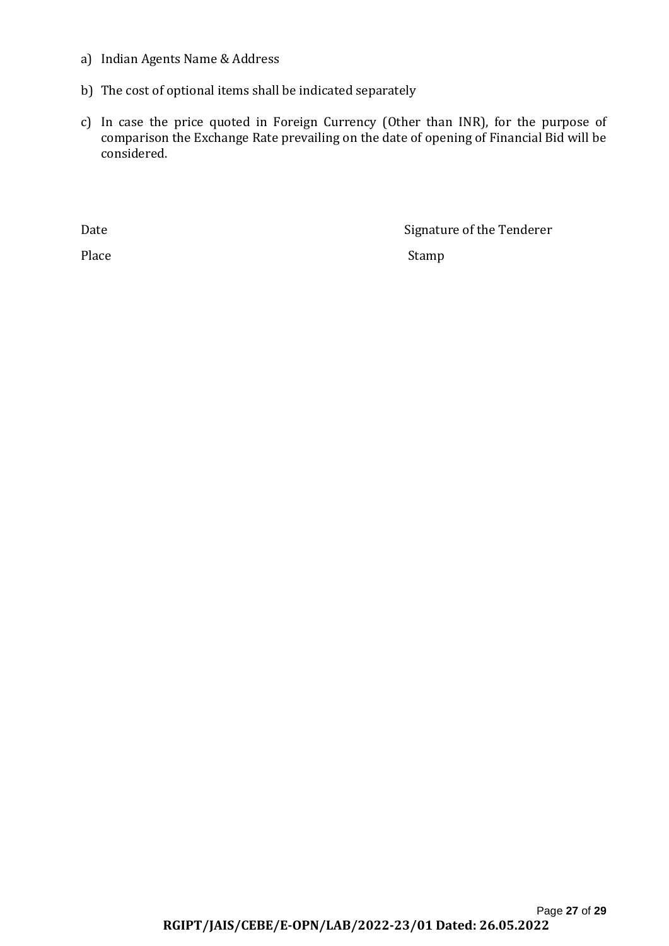- a) Indian Agents Name & Address
- b) The cost of optional items shall be indicated separately
- c) In case the price quoted in Foreign Currency (Other than INR), for the purpose of comparison the Exchange Rate prevailing on the date of opening of Financial Bid will be considered.

Date Signature of the Tenderer

Place Stamp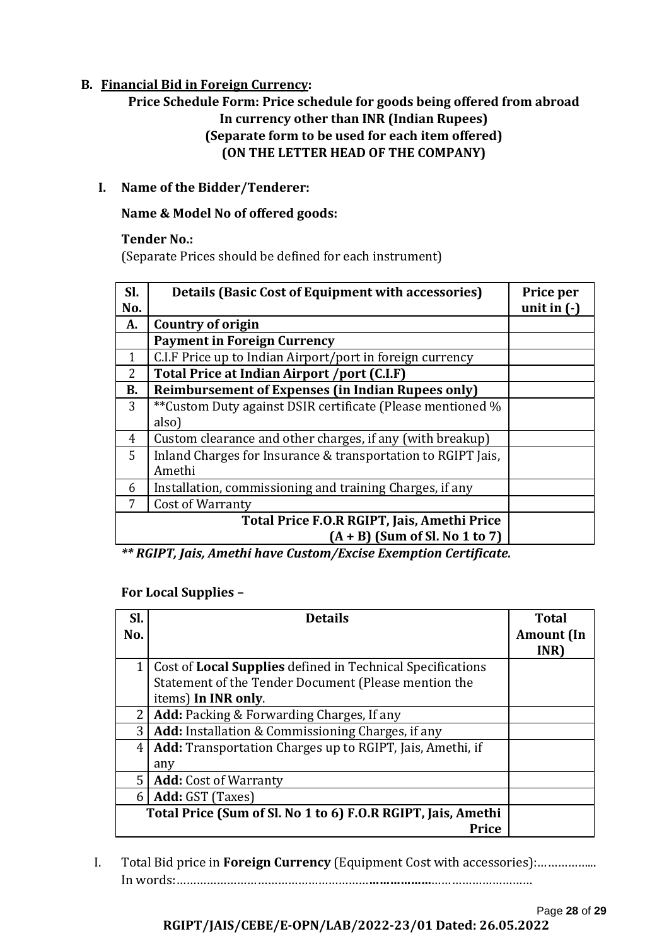## **B. Financial Bid in Foreign Currency:**

## **Price Schedule Form: Price schedule for goods being offered from abroad In currency other than INR (Indian Rupees) (Separate form to be used for each item offered) (ON THE LETTER HEAD OF THE COMPANY)**

#### **I. Name of the Bidder/Tenderer:**

#### **Name & Model No of offered goods:**

#### **Tender No.:**

(Separate Prices should be defined for each instrument)

| Sl.<br>No.     | <b>Details (Basic Cost of Equipment with accessories)</b>    | Price per<br>unit in $(-)$ |
|----------------|--------------------------------------------------------------|----------------------------|
| A.             | Country of origin                                            |                            |
|                | <b>Payment in Foreign Currency</b>                           |                            |
| 1              | C.I.F Price up to Indian Airport/port in foreign currency    |                            |
| $\overline{2}$ | Total Price at Indian Airport /port (C.I.F)                  |                            |
| <b>B.</b>      | <b>Reimbursement of Expenses (in Indian Rupees only)</b>     |                            |
| 3              | **Custom Duty against DSIR certificate (Please mentioned %   |                            |
|                | also)                                                        |                            |
| 4              | Custom clearance and other charges, if any (with breakup)    |                            |
| 5              | Inland Charges for Insurance & transportation to RGIPT Jais, |                            |
|                | Amethi                                                       |                            |
| 6              | Installation, commissioning and training Charges, if any     |                            |
|                | Cost of Warranty                                             |                            |
|                | Total Price F.O.R RGIPT, Jais, Amethi Price                  |                            |
|                | $(A + B)$ (Sum of Sl. No 1 to 7)                             |                            |

*\*\* RGIPT, Jais, Amethi have Custom/Excise Exemption Certificate.*

#### **For Local Supplies –**

| SI.<br>No.     | <b>Details</b>                                                                                                                                   | <b>Total</b>              |
|----------------|--------------------------------------------------------------------------------------------------------------------------------------------------|---------------------------|
|                |                                                                                                                                                  | <b>Amount</b> (In<br>INR) |
|                | Cost of <b>Local Supplies</b> defined in Technical Specifications<br>Statement of the Tender Document (Please mention the<br>items) In INR only. |                           |
|                | Add: Packing & Forwarding Charges, If any                                                                                                        |                           |
| 3 <sup>1</sup> | Add: Installation & Commissioning Charges, if any                                                                                                |                           |
| 4 <sup>1</sup> | Add: Transportation Charges up to RGIPT, Jais, Amethi, if<br>any                                                                                 |                           |
| 5 <sub>1</sub> | <b>Add:</b> Cost of Warranty                                                                                                                     |                           |
| 6              | Add: GST (Taxes)                                                                                                                                 |                           |
|                | Total Price (Sum of Sl. No 1 to 6) F.O.R RGIPT, Jais, Amethi<br>Price                                                                            |                           |

- I. Total Bid price in **Foreign Currency** (Equipment Cost with accessories):……………... In words:…………………………………………………**………………**…………………………
	- Page **28** of **29 RGIPT/JAIS/CEBE/E-OPN/LAB/2022-23/01 Dated: 26.05.2022**